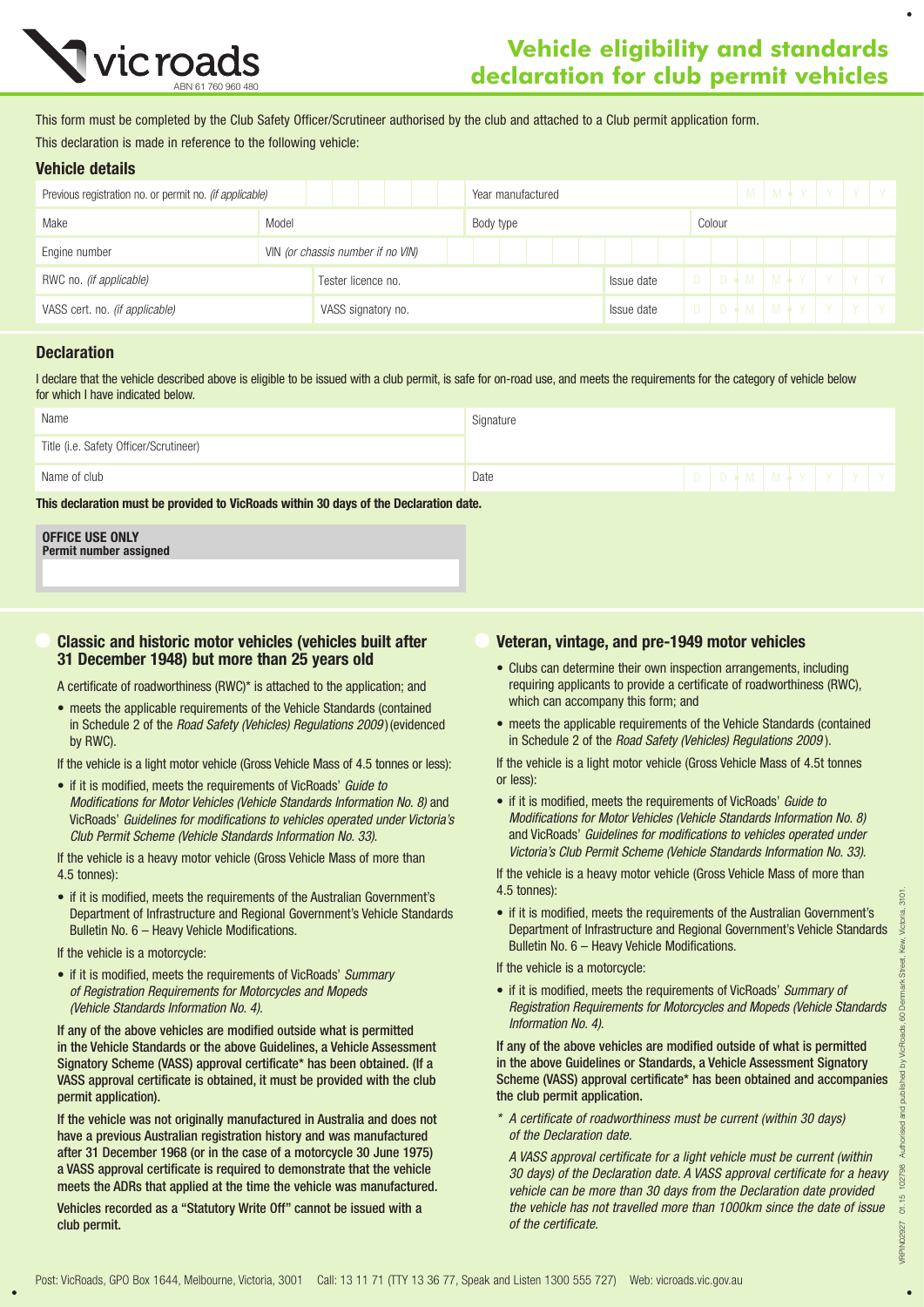

# **Vehicle eligibility and standards declaration for club permit vehicle**<br>declaration for club permit vehicles

This form must be completed by the Club Safety Officer/Scrutineer authorised by the club and attached to a Club permit application form. This declaration is made in reference to the following vehicle:

#### Vehicle details

| Previous registration no. or permit no. (if applicable) |       |                                   |  |           |  |  | Year manufactured |        |            |            |        |  |  |  |  |  |  | $M$ $M$ $+$ Y $Y$ $Y$ $Y$                   |
|---------------------------------------------------------|-------|-----------------------------------|--|-----------|--|--|-------------------|--------|------------|------------|--------|--|--|--|--|--|--|---------------------------------------------|
| Make                                                    | Model |                                   |  | Body type |  |  |                   | Colour |            |            |        |  |  |  |  |  |  |                                             |
| Engine number                                           |       | VIN (or chassis number if no VIN) |  |           |  |  |                   |        |            |            |        |  |  |  |  |  |  |                                             |
| RWC no. (if applicable)                                 |       | Tester licence no.                |  |           |  |  |                   |        |            | Issue date | $\Box$ |  |  |  |  |  |  | D → M   M → Y   Y   Y   Y                   |
| VASS cert. no. (if applicable)                          |       | VASS signatory no.                |  |           |  |  |                   |        | Issue date |            |        |  |  |  |  |  |  | $D   D \big\{ M   M \big\{ Y   Y   Y   Y  $ |

# **Declaration**

I declare that the vehicle described above is eligible to be issued with a club permit, is safe for on-road use, and meets the requirements for the category of vehicle below for which I have indicated below.

| Name                                                                                                                                                                                                                           | Signature                                  |  |
|--------------------------------------------------------------------------------------------------------------------------------------------------------------------------------------------------------------------------------|--------------------------------------------|--|
| Title (i.e. Safety Officer/Scrutineer)                                                                                                                                                                                         |                                            |  |
| Name of club                                                                                                                                                                                                                   | Date<br><b>DID → M I M → Y I Y I Y I Y</b> |  |
| which is a contract of the state of the contract of the state of the state of the state of the state of the state of the state of the state of the state of the state of the state of the state of the state of the state of t |                                            |  |

This declaration must be provided to VicRoads within 30 days of the Declaration date.

| <b>OFFICE USE ONLY</b> |
|------------------------|
| Permit number assigned |
|                        |

## Classic and historic motor vehicles (vehicles built after 31 December 1948) but more than 25 years old

A certificate of roadworthiness (RWC)\* is attached to the application; and

- meets the applicable requirements of the Vehicle Standards (contained in Schedule 2 of the *Road Safety (Vehicles) Regulations 2009* )(evidenced by RWC).
- If the vehicle is a light motor vehicle (Gross Vehicle Mass of 4.5 tonnes or less):
- • if it is modified, meets the requirements of VicRoads' *Guide to Modifications for Motor Vehicles (Vehicle Standards Information No. 8)* and VicRoads' *Guidelines for modifications to vehicles operated under Victoria's Club Permit Scheme (Vehicle Standards Information No. 33)*.

If the vehicle is a heavy motor vehicle (Gross Vehicle Mass of more than 4.5 tonnes):

• if it is modified, meets the requirements of the Australian Government's Department of Infrastructure and Regional Government's Vehicle Standards Bulletin No. 6 – Heavy Vehicle Modifications.

If the vehicle is a motorcycle:

• if it is modified, meets the requirements of VicRoads' *Summary of Registration Requirements for Motorcycles and Mopeds (Vehicle Standards Information No. 4)*.

If any of the above vehicles are modified outside what is permitted in the Vehicle Standards or the above Guidelines, a Vehicle Assessment Signatory Scheme (VASS) approval certificate\* has been obtained. (If a VASS approval certificate is obtained, it must be provided with the club permit application).

If the vehicle was not originally manufactured in Australia and does not have a previous Australian registration history and was manufactured after 31 December 1968 (or in the case of a motorcycle 30 June 1975) a VASS approval certificate is required to demonstrate that the vehicle meets the ADRs that applied at the time the vehicle was manufactured.

Vehicles recorded as a "Statutory Write Off" cannot be issued with a club permit.

# Veteran, vintage, and pre-1949 motor vehicles

- Clubs can determine their own inspection arrangements, including requiring applicants to provide a certificate of roadworthiness (RWC), which can accompany this form; and
- meets the applicable requirements of the Vehicle Standards (contained in Schedule 2 of the *Road Safety (Vehicles) Regulations 2009* ).

If the vehicle is a light motor vehicle (Gross Vehicle Mass of 4.5t tonnes or less):

• if it is modified, meets the requirements of VicRoads' *Guide to Modifications for Motor Vehicles (Vehicle Standards Information No. 8)* and VicRoads' *Guidelines for modifications to vehicles operated under Victoria's Club Permit Scheme (Vehicle Standards Information No. 33)*.

If the vehicle is a heavy motor vehicle (Gross Vehicle Mass of more than 4.5 tonnes):

• if it is modified, meets the requirements of the Australian Government's Department of Infrastructure and Regional Government's Vehicle Standards Bulletin No. 6 – Heavy Vehicle Modifications.

If the vehicle is a motorcycle:

• if it is modified, meets the requirements of VicRoads' *Summary of Registration Requirements for Motorcycles and Mopeds (Vehicle Standards Information No. 4)*.

If any of the above vehicles are modified outside of what is permitted in the above Guidelines or Standards, a Vehicle Assessment Signatory Scheme (VASS) approval certificate\* has been obtained and accompanies the club permit application.

*\* A certificate of roadworthiness must be current (within 30 days) of the Declaration date.*

 *A VASS approval certificate for a light vehicle must be current (within 30 days) of the Declaration date. A VASS approval certificate for a heavy vehicle can be more than 30 days from the Declaration date provided the vehicle has not travelled more than 1000km since the date of issue of the certificate.*